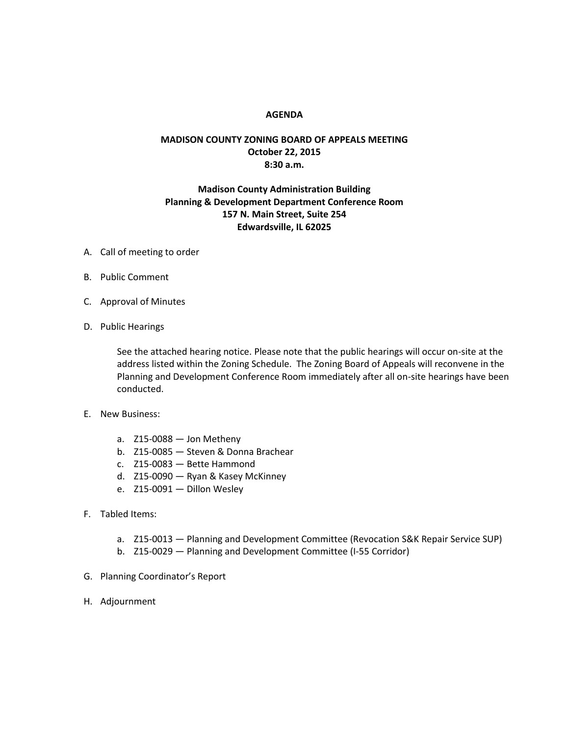## **AGENDA**

## **MADISON COUNTY ZONING BOARD OF APPEALS MEETING October 22, 2015 8:30 a.m.**

## **Madison County Administration Building Planning & Development Department Conference Room 157 N. Main Street, Suite 254 Edwardsville, IL 62025**

- A. Call of meeting to order
- B. Public Comment
- C. Approval of Minutes
- D. Public Hearings

See the attached hearing notice. Please note that the public hearings will occur on-site at the address listed within the Zoning Schedule. The Zoning Board of Appeals will reconvene in the Planning and Development Conference Room immediately after all on-site hearings have been conducted.

- E. New Business:
	- a. Z15-0088 Jon Metheny
	- b. Z15-0085 Steven & Donna Brachear
	- c. Z15-0083 Bette Hammond
	- d. Z15-0090 Ryan & Kasey McKinney
	- e. Z15-0091 Dillon Wesley
- F. Tabled Items:
	- a. Z15-0013 Planning and Development Committee (Revocation S&K Repair Service SUP)
	- b. Z15-0029 Planning and Development Committee (I-55 Corridor)
- G. Planning Coordinator's Report
- H. Adjournment